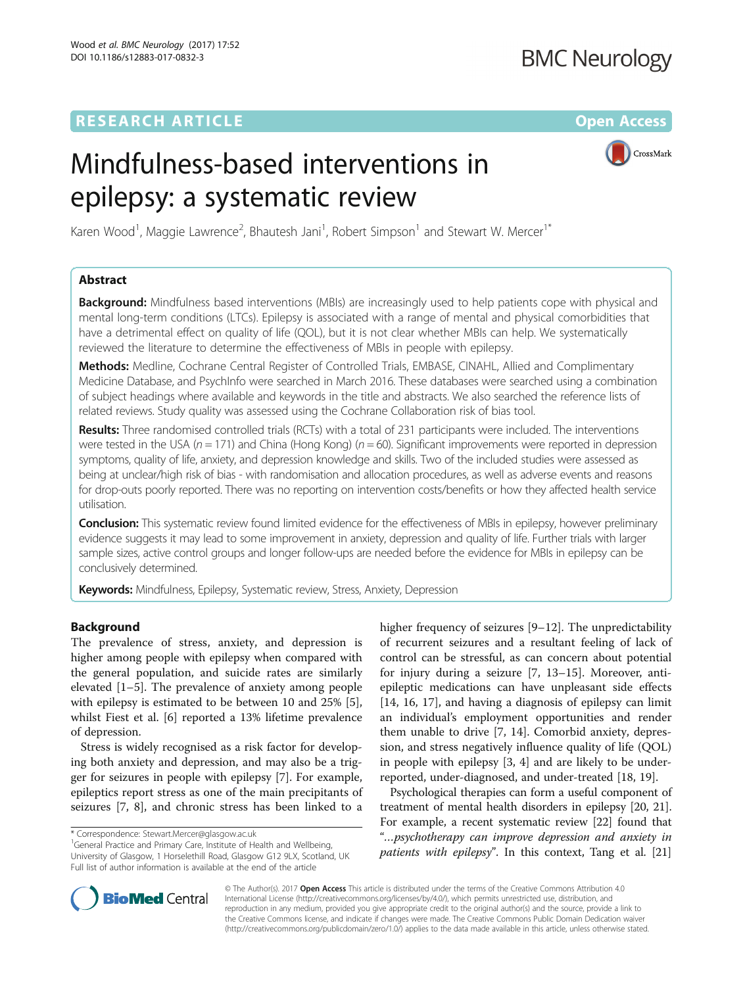# **RESEARCH ARTICLE External Structure Community Community Community Community Community Community Community Community**

# Mindfulness-based interventions in epilepsy: a systematic review



Karen Wood<sup>1</sup>, Maggie Lawrence<sup>2</sup>, Bhautesh Jani<sup>1</sup>, Robert Simpson<sup>1</sup> and Stewart W. Mercer<sup>1\*</sup>

# Abstract

**Background:** Mindfulness based interventions (MBIs) are increasingly used to help patients cope with physical and mental long-term conditions (LTCs). Epilepsy is associated with a range of mental and physical comorbidities that have a detrimental effect on quality of life (QOL), but it is not clear whether MBIs can help. We systematically reviewed the literature to determine the effectiveness of MBIs in people with epilepsy.

Methods: Medline, Cochrane Central Register of Controlled Trials, EMBASE, CINAHL, Allied and Complimentary Medicine Database, and PsychInfo were searched in March 2016. These databases were searched using a combination of subject headings where available and keywords in the title and abstracts. We also searched the reference lists of related reviews. Study quality was assessed using the Cochrane Collaboration risk of bias tool.

Results: Three randomised controlled trials (RCTs) with a total of 231 participants were included. The interventions were tested in the USA ( $n = 171$ ) and China (Hong Kong) ( $n = 60$ ). Significant improvements were reported in depression symptoms, quality of life, anxiety, and depression knowledge and skills. Two of the included studies were assessed as being at unclear/high risk of bias - with randomisation and allocation procedures, as well as adverse events and reasons for drop-outs poorly reported. There was no reporting on intervention costs/benefits or how they affected health service utilisation.

Conclusion: This systematic review found limited evidence for the effectiveness of MBIs in epilepsy, however preliminary evidence suggests it may lead to some improvement in anxiety, depression and quality of life. Further trials with larger sample sizes, active control groups and longer follow-ups are needed before the evidence for MBIs in epilepsy can be conclusively determined.

Keywords: Mindfulness, Epilepsy, Systematic review, Stress, Anxiety, Depression

# **Background**

The prevalence of stress, anxiety, and depression is higher among people with epilepsy when compared with the general population, and suicide rates are similarly elevated [[1](#page-10-0)–[5](#page-10-0)]. The prevalence of anxiety among people with epilepsy is estimated to be between 10 and 25% [\[5](#page-10-0)], whilst Fiest et al. [\[6](#page-10-0)] reported a 13% lifetime prevalence of depression.

Stress is widely recognised as a risk factor for developing both anxiety and depression, and may also be a trigger for seizures in people with epilepsy [[7\]](#page-10-0). For example, epileptics report stress as one of the main precipitants of seizures [\[7](#page-10-0), [8](#page-10-0)], and chronic stress has been linked to a

<sup>1</sup>General Practice and Primary Care, Institute of Health and Wellbeing, University of Glasgow, 1 Horselethill Road, Glasgow G12 9LX, Scotland, UK Full list of author information is available at the end of the article

higher frequency of seizures [\[9](#page-10-0)–[12\]](#page-10-0). The unpredictability of recurrent seizures and a resultant feeling of lack of control can be stressful, as can concern about potential for injury during a seizure [\[7](#page-10-0), [13](#page-10-0)–[15\]](#page-10-0). Moreover, antiepileptic medications can have unpleasant side effects [[14, 16](#page-10-0), [17](#page-10-0)], and having a diagnosis of epilepsy can limit an individual's employment opportunities and render them unable to drive [[7, 14](#page-10-0)]. Comorbid anxiety, depression, and stress negatively influence quality of life (QOL) in people with epilepsy [\[3](#page-10-0), [4\]](#page-10-0) and are likely to be underreported, under-diagnosed, and under-treated [[18, 19\]](#page-10-0).

Psychological therapies can form a useful component of treatment of mental health disorders in epilepsy [\[20](#page-11-0), [21](#page-11-0)]. For example, a recent systematic review [\[22\]](#page-11-0) found that "…psychotherapy can improve depression and anxiety in patients with epilepsy". In this context, Tang et al. [[21](#page-11-0)]



© The Author(s). 2017 **Open Access** This article is distributed under the terms of the Creative Commons Attribution 4.0 International License [\(http://creativecommons.org/licenses/by/4.0/](http://creativecommons.org/licenses/by/4.0/)), which permits unrestricted use, distribution, and reproduction in any medium, provided you give appropriate credit to the original author(s) and the source, provide a link to the Creative Commons license, and indicate if changes were made. The Creative Commons Public Domain Dedication waiver [\(http://creativecommons.org/publicdomain/zero/1.0/](http://creativecommons.org/publicdomain/zero/1.0/)) applies to the data made available in this article, unless otherwise stated.

<sup>\*</sup> Correspondence: [Stewart.Mercer@glasgow.ac.uk](mailto:Stewart.Mercer@glasgow.ac.uk) <sup>1</sup>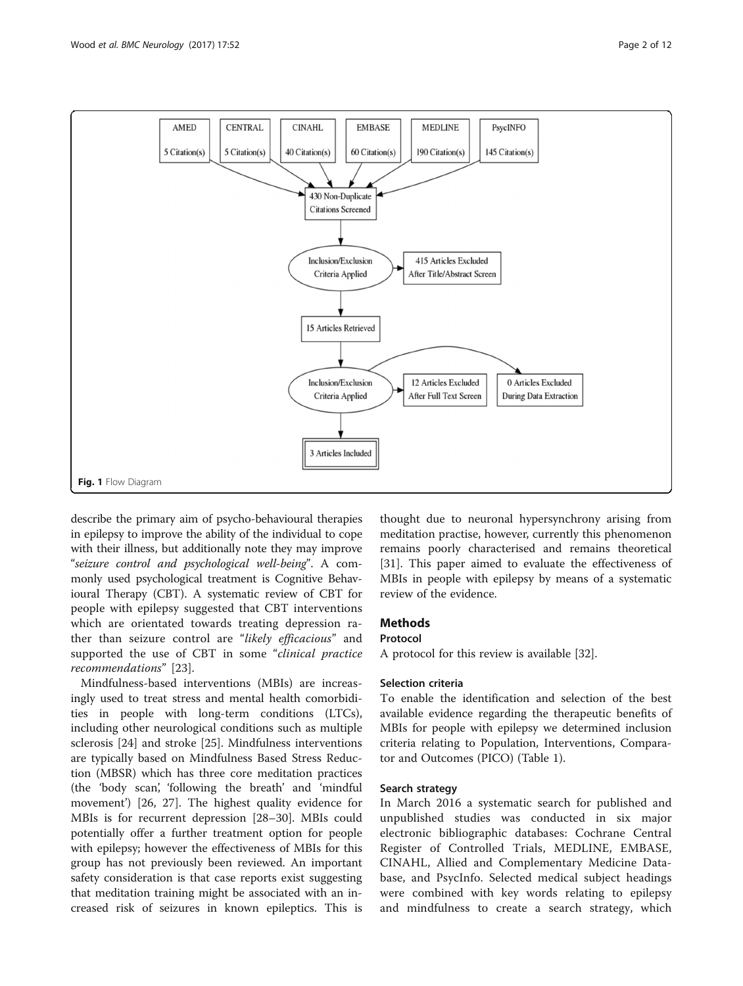<span id="page-1-0"></span>

describe the primary aim of psycho-behavioural therapies in epilepsy to improve the ability of the individual to cope with their illness, but additionally note they may improve "seizure control and psychological well-being". A commonly used psychological treatment is Cognitive Behavioural Therapy (CBT). A systematic review of CBT for people with epilepsy suggested that CBT interventions which are orientated towards treating depression rather than seizure control are "likely efficacious" and supported the use of CBT in some "clinical practice recommendations" [[23\]](#page-11-0).

Mindfulness-based interventions (MBIs) are increasingly used to treat stress and mental health comorbidities in people with long-term conditions (LTCs), including other neurological conditions such as multiple sclerosis [\[24](#page-11-0)] and stroke [\[25\]](#page-11-0). Mindfulness interventions are typically based on Mindfulness Based Stress Reduction (MBSR) which has three core meditation practices (the 'body scan', 'following the breath' and 'mindful movement') [\[26](#page-11-0), [27](#page-11-0)]. The highest quality evidence for MBIs is for recurrent depression [[28](#page-11-0)–[30](#page-11-0)]. MBIs could potentially offer a further treatment option for people with epilepsy; however the effectiveness of MBIs for this group has not previously been reviewed. An important safety consideration is that case reports exist suggesting that meditation training might be associated with an increased risk of seizures in known epileptics. This is

thought due to neuronal hypersynchrony arising from meditation practise, however, currently this phenomenon remains poorly characterised and remains theoretical [[31\]](#page-11-0). This paper aimed to evaluate the effectiveness of MBIs in people with epilepsy by means of a systematic review of the evidence.

# **Methods**

## Protocol

A protocol for this review is available [[32\]](#page-11-0).

#### Selection criteria

To enable the identification and selection of the best available evidence regarding the therapeutic benefits of MBIs for people with epilepsy we determined inclusion criteria relating to Population, Interventions, Comparator and Outcomes (PICO) (Table [1](#page-2-0)).

# Search strategy

In March 2016 a systematic search for published and unpublished studies was conducted in six major electronic bibliographic databases: Cochrane Central Register of Controlled Trials, MEDLINE, EMBASE, CINAHL, Allied and Complementary Medicine Database, and PsycInfo. Selected medical subject headings were combined with key words relating to epilepsy and mindfulness to create a search strategy, which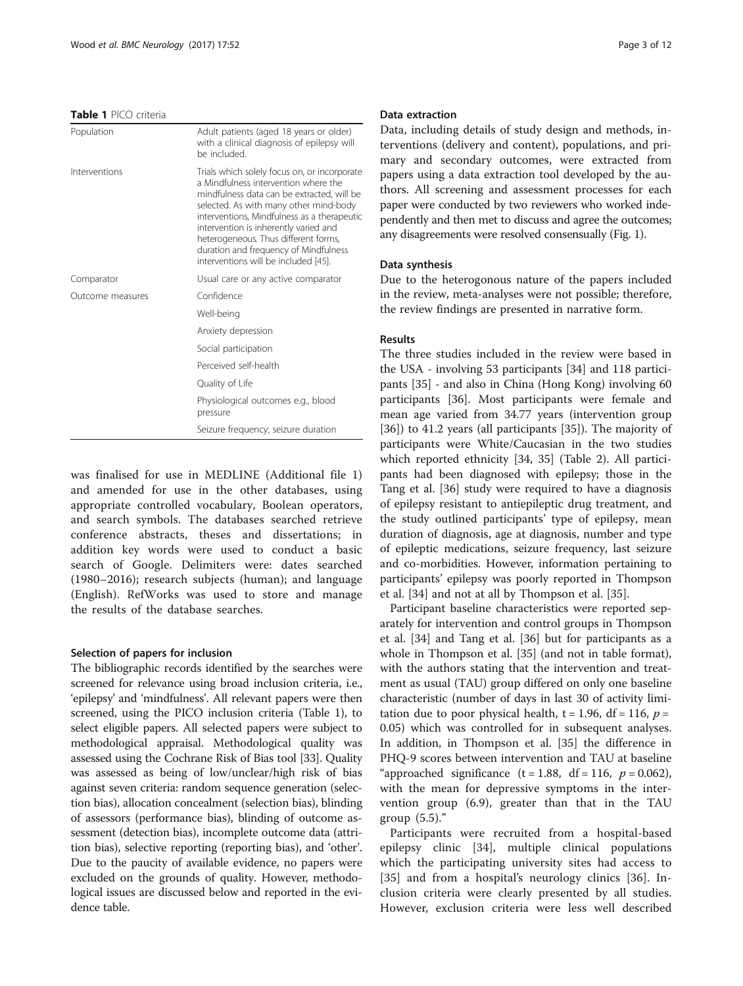#### <span id="page-2-0"></span>Table 1 PICO criteria

| Population       | Adult patients (aged 18 years or older)<br>with a clinical diagnosis of epilepsy will<br>be included.                                                                                                                                                                                                                                                                                         |
|------------------|-----------------------------------------------------------------------------------------------------------------------------------------------------------------------------------------------------------------------------------------------------------------------------------------------------------------------------------------------------------------------------------------------|
| Interventions    | Trials which solely focus on, or incorporate<br>a Mindfulness intervention where the<br>mindfulness data can be extracted, will be<br>selected. As with many other mind-body<br>interventions, Mindfulness as a therapeutic<br>intervention is inherently varied and<br>heterogeneous. Thus different forms,<br>duration and frequency of Mindfulness<br>interventions will be included [45]. |
| Comparator       | Usual care or any active comparator                                                                                                                                                                                                                                                                                                                                                           |
| Outcome measures | Confidence                                                                                                                                                                                                                                                                                                                                                                                    |
|                  | Well-being                                                                                                                                                                                                                                                                                                                                                                                    |
|                  | Anxiety depression                                                                                                                                                                                                                                                                                                                                                                            |
|                  | Social participation                                                                                                                                                                                                                                                                                                                                                                          |
|                  | Perceived self-health                                                                                                                                                                                                                                                                                                                                                                         |
|                  | Quality of Life                                                                                                                                                                                                                                                                                                                                                                               |
|                  | Physiological outcomes e.g., blood<br>pressure                                                                                                                                                                                                                                                                                                                                                |
|                  | Seizure frequency; seizure duration                                                                                                                                                                                                                                                                                                                                                           |

was finalised for use in MEDLINE (Additional file [1](#page-10-0)) and amended for use in the other databases, using appropriate controlled vocabulary, Boolean operators, and search symbols. The databases searched retrieve conference abstracts, theses and dissertations; in addition key words were used to conduct a basic search of Google. Delimiters were: dates searched (1980–2016); research subjects (human); and language (English). RefWorks was used to store and manage the results of the database searches.

#### Selection of papers for inclusion

The bibliographic records identified by the searches were screened for relevance using broad inclusion criteria, i.e., 'epilepsy' and 'mindfulness'. All relevant papers were then screened, using the PICO inclusion criteria (Table 1), to select eligible papers. All selected papers were subject to methodological appraisal. Methodological quality was assessed using the Cochrane Risk of Bias tool [[33](#page-11-0)]. Quality was assessed as being of low/unclear/high risk of bias against seven criteria: random sequence generation (selection bias), allocation concealment (selection bias), blinding of assessors (performance bias), blinding of outcome assessment (detection bias), incomplete outcome data (attrition bias), selective reporting (reporting bias), and 'other'. Due to the paucity of available evidence, no papers were excluded on the grounds of quality. However, methodological issues are discussed below and reported in the evidence table.

#### Data extraction

Data, including details of study design and methods, interventions (delivery and content), populations, and primary and secondary outcomes, were extracted from papers using a data extraction tool developed by the authors. All screening and assessment processes for each paper were conducted by two reviewers who worked independently and then met to discuss and agree the outcomes; any disagreements were resolved consensually (Fig. [1](#page-1-0)).

#### Data synthesis

Due to the heterogonous nature of the papers included in the review, meta-analyses were not possible; therefore, the review findings are presented in narrative form.

## Results

The three studies included in the review were based in the USA - involving 53 participants [\[34\]](#page-11-0) and 118 participants [\[35\]](#page-11-0) - and also in China (Hong Kong) involving 60 participants [\[36\]](#page-11-0). Most participants were female and mean age varied from 34.77 years (intervention group [[36\]](#page-11-0)) to 41.2 years (all participants [[35\]](#page-11-0)). The majority of participants were White/Caucasian in the two studies which reported ethnicity [\[34](#page-11-0), [35](#page-11-0)] (Table [2](#page-3-0)). All participants had been diagnosed with epilepsy; those in the Tang et al. [[36](#page-11-0)] study were required to have a diagnosis of epilepsy resistant to antiepileptic drug treatment, and the study outlined participants' type of epilepsy, mean duration of diagnosis, age at diagnosis, number and type of epileptic medications, seizure frequency, last seizure and co-morbidities. However, information pertaining to participants' epilepsy was poorly reported in Thompson et al. [\[34](#page-11-0)] and not at all by Thompson et al. [[35](#page-11-0)].

Participant baseline characteristics were reported separately for intervention and control groups in Thompson et al. [\[34](#page-11-0)] and Tang et al. [[36\]](#page-11-0) but for participants as a whole in Thompson et al. [\[35](#page-11-0)] (and not in table format), with the authors stating that the intervention and treatment as usual (TAU) group differed on only one baseline characteristic (number of days in last 30 of activity limitation due to poor physical health,  $t = 1.96$ ,  $df = 116$ ,  $p =$ 0.05) which was controlled for in subsequent analyses. In addition, in Thompson et al. [\[35](#page-11-0)] the difference in PHQ-9 scores between intervention and TAU at baseline "approached significance  $(t = 1.88, df = 116, p = 0.062)$ , with the mean for depressive symptoms in the intervention group (6.9), greater than that in the TAU group (5.5)."

Participants were recruited from a hospital-based epilepsy clinic [\[34](#page-11-0)], multiple clinical populations which the participating university sites had access to [[35\]](#page-11-0) and from a hospital's neurology clinics [[36\]](#page-11-0). Inclusion criteria were clearly presented by all studies. However, exclusion criteria were less well described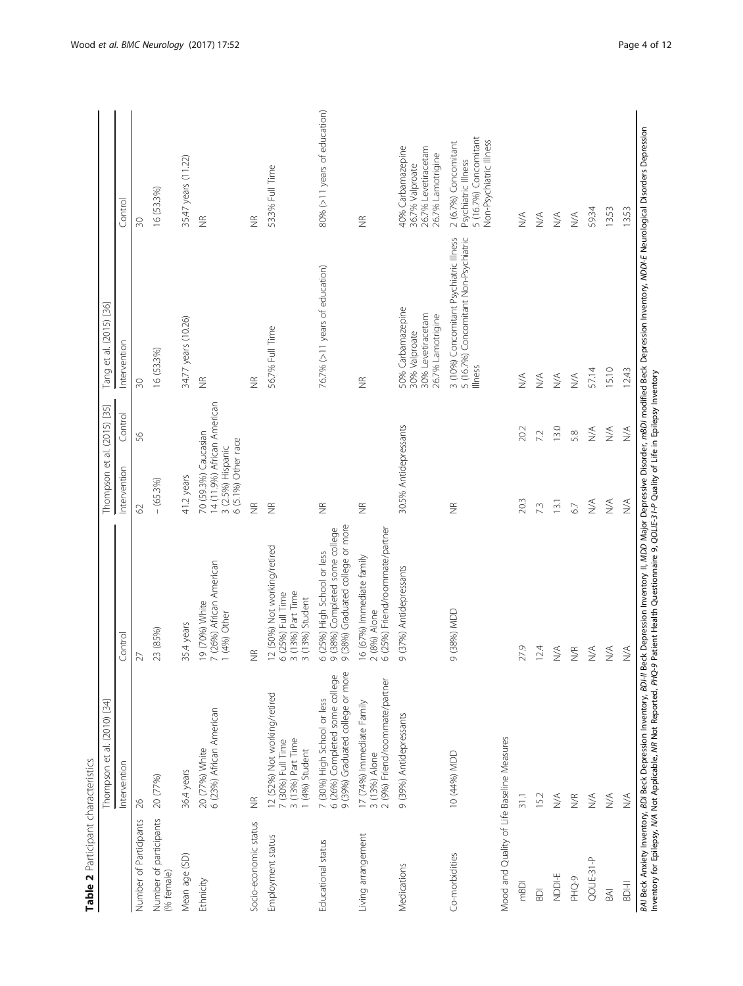<span id="page-3-0"></span>

| 50% Carbamazepine<br>30% Levetiracetam<br>26.7% Lamotrigine<br>34.77 years (10.26)<br>56.7% Full Time<br>30% Valproate<br>Intervention<br>16 (53.3%)<br>Illness<br>57.14<br>$\stackrel{\triangle}{\geq}$<br>$\stackrel{\triangleleft}{\geq}$<br>$\lessgtr$<br>$\stackrel{\triangle}{\geq}$<br>$\widetilde{\Xi}$<br>$\widetilde{\Xi}$<br>$\widetilde{\Xi}$<br>$\infty$<br>14 (11.9%) African American<br>Control<br>30.5% Antidepressants<br>13.0<br>20.2<br>$\lessgtr$<br>5.8<br>70 (59.3%) Caucasian<br>72<br>56<br>6 (5.1%) Other race<br>3 (2.5%) Hispanic<br>Intervention<br>41.2 years<br>$- (65.3%)$<br>20.3<br>$\lesssim$<br>13.1<br>$\frac{\alpha}{2}$<br>$\frac{\alpha}{2}$<br>$\widetilde{\Xi}$<br>7.3<br>6.7<br>$\frac{\alpha}{2}$<br>$\frac{\alpha}{2}$<br>62<br>9 (38%) Graduated college or more<br>9 (38%) Completed some college<br>(25%) Friend/roommate/partner<br>12 (50%) Not working/retired<br>6 (25%) High School or less<br>16 (67%) Immediate family<br>7 (26%) African American<br>(37%) Antidepressants<br>3 (13%) Part Time<br>6 (25%) Full Time<br>$(13%)$ Student<br>19 (70%) White<br>9 (38%) MDD<br>2 (8%) Alone<br>1 (4%) Other<br>35.4 years<br>23 (85%)<br>Control<br>27.9<br>12.4<br>$\lessgtr$<br>$\lesssim$<br>$\frac{1}{2}$<br>$\widetilde{\Xi}$<br>27<br>$\circ$<br>9 (39%) Graduated college or more<br>6 (26%) Completed some college<br>2 (9%) Friend/roommate/partner<br>12 (52%) Not working/retired<br>7 (30%) High School or less<br>17 (74%) Immediate Family<br>6 (23%) African American<br>9 (39%) Antidepressants<br>Mood and Quality of Life Baseline Measures<br>3 (13%) Part Time<br>7 (30%) Full Time<br>20 (77%) White<br>1 (4%) Student<br>3 (13%) Alone<br>10 (44%) MDD<br>Intervention<br>36.4 years<br>20 (77%)<br>15.2<br>$\stackrel{\triangleleft}{\geq}$<br>$\lesssim$<br>31.1<br>$\frac{1}{2}$<br>$\widetilde{\Xi}$<br>26<br>Number of participants<br>Number of Participants<br>Socio-economic status<br>Living arrangement<br>Employment status<br>Educational status<br>Co-morbidities<br>Mean age (SD)<br>QOLIE-31-P<br>Medications<br>(% female)<br>NDDI-E<br>PHQ-9<br>Ethnicity<br>mBDI<br>$\overline{\mathsf{D}}$ | Thompson et al. (2010) [34] | Thompson et al. (2015) [35] | Tang et al. (2015) [36]                                                          |                                                                                                 |
|------------------------------------------------------------------------------------------------------------------------------------------------------------------------------------------------------------------------------------------------------------------------------------------------------------------------------------------------------------------------------------------------------------------------------------------------------------------------------------------------------------------------------------------------------------------------------------------------------------------------------------------------------------------------------------------------------------------------------------------------------------------------------------------------------------------------------------------------------------------------------------------------------------------------------------------------------------------------------------------------------------------------------------------------------------------------------------------------------------------------------------------------------------------------------------------------------------------------------------------------------------------------------------------------------------------------------------------------------------------------------------------------------------------------------------------------------------------------------------------------------------------------------------------------------------------------------------------------------------------------------------------------------------------------------------------------------------------------------------------------------------------------------------------------------------------------------------------------------------------------------------------------------------------------------------------------------------------------------------------------------------------------------------------------------------------------------------------------------------------------------------------------------------------------------------------|-----------------------------|-----------------------------|----------------------------------------------------------------------------------|-------------------------------------------------------------------------------------------------|
|                                                                                                                                                                                                                                                                                                                                                                                                                                                                                                                                                                                                                                                                                                                                                                                                                                                                                                                                                                                                                                                                                                                                                                                                                                                                                                                                                                                                                                                                                                                                                                                                                                                                                                                                                                                                                                                                                                                                                                                                                                                                                                                                                                                          |                             |                             |                                                                                  | Control                                                                                         |
|                                                                                                                                                                                                                                                                                                                                                                                                                                                                                                                                                                                                                                                                                                                                                                                                                                                                                                                                                                                                                                                                                                                                                                                                                                                                                                                                                                                                                                                                                                                                                                                                                                                                                                                                                                                                                                                                                                                                                                                                                                                                                                                                                                                          |                             |                             |                                                                                  | $\overline{30}$                                                                                 |
|                                                                                                                                                                                                                                                                                                                                                                                                                                                                                                                                                                                                                                                                                                                                                                                                                                                                                                                                                                                                                                                                                                                                                                                                                                                                                                                                                                                                                                                                                                                                                                                                                                                                                                                                                                                                                                                                                                                                                                                                                                                                                                                                                                                          |                             |                             |                                                                                  | 16 (53.3%)                                                                                      |
|                                                                                                                                                                                                                                                                                                                                                                                                                                                                                                                                                                                                                                                                                                                                                                                                                                                                                                                                                                                                                                                                                                                                                                                                                                                                                                                                                                                                                                                                                                                                                                                                                                                                                                                                                                                                                                                                                                                                                                                                                                                                                                                                                                                          |                             |                             |                                                                                  | 35.47 years (11.22)                                                                             |
|                                                                                                                                                                                                                                                                                                                                                                                                                                                                                                                                                                                                                                                                                                                                                                                                                                                                                                                                                                                                                                                                                                                                                                                                                                                                                                                                                                                                                                                                                                                                                                                                                                                                                                                                                                                                                                                                                                                                                                                                                                                                                                                                                                                          |                             |                             |                                                                                  | $\widetilde{\Xi}$                                                                               |
|                                                                                                                                                                                                                                                                                                                                                                                                                                                                                                                                                                                                                                                                                                                                                                                                                                                                                                                                                                                                                                                                                                                                                                                                                                                                                                                                                                                                                                                                                                                                                                                                                                                                                                                                                                                                                                                                                                                                                                                                                                                                                                                                                                                          |                             |                             |                                                                                  | $\frac{\alpha}{2}$                                                                              |
|                                                                                                                                                                                                                                                                                                                                                                                                                                                                                                                                                                                                                                                                                                                                                                                                                                                                                                                                                                                                                                                                                                                                                                                                                                                                                                                                                                                                                                                                                                                                                                                                                                                                                                                                                                                                                                                                                                                                                                                                                                                                                                                                                                                          |                             |                             |                                                                                  | 53.3% Full Time                                                                                 |
|                                                                                                                                                                                                                                                                                                                                                                                                                                                                                                                                                                                                                                                                                                                                                                                                                                                                                                                                                                                                                                                                                                                                                                                                                                                                                                                                                                                                                                                                                                                                                                                                                                                                                                                                                                                                                                                                                                                                                                                                                                                                                                                                                                                          |                             |                             | 76.7% (>11 years of education)                                                   | 80% (>11 years of education)                                                                    |
|                                                                                                                                                                                                                                                                                                                                                                                                                                                                                                                                                                                                                                                                                                                                                                                                                                                                                                                                                                                                                                                                                                                                                                                                                                                                                                                                                                                                                                                                                                                                                                                                                                                                                                                                                                                                                                                                                                                                                                                                                                                                                                                                                                                          |                             |                             |                                                                                  | $\widetilde{\Xi}$                                                                               |
|                                                                                                                                                                                                                                                                                                                                                                                                                                                                                                                                                                                                                                                                                                                                                                                                                                                                                                                                                                                                                                                                                                                                                                                                                                                                                                                                                                                                                                                                                                                                                                                                                                                                                                                                                                                                                                                                                                                                                                                                                                                                                                                                                                                          |                             |                             |                                                                                  | 26.7% Levetiracetam<br>40% Carbamazepine<br>26.7% Lamotrigine<br>36.7% Valproate                |
|                                                                                                                                                                                                                                                                                                                                                                                                                                                                                                                                                                                                                                                                                                                                                                                                                                                                                                                                                                                                                                                                                                                                                                                                                                                                                                                                                                                                                                                                                                                                                                                                                                                                                                                                                                                                                                                                                                                                                                                                                                                                                                                                                                                          |                             |                             | 3 (10%) Concomitant Psychiatric Illness<br>5 (16.7%) Concomitant Non-Psychiatric | 5 (16.7%) Concomitant<br>Non-Psychiatric Illness<br>2 (6.7%) Concomitant<br>Psychiatric Illness |
|                                                                                                                                                                                                                                                                                                                                                                                                                                                                                                                                                                                                                                                                                                                                                                                                                                                                                                                                                                                                                                                                                                                                                                                                                                                                                                                                                                                                                                                                                                                                                                                                                                                                                                                                                                                                                                                                                                                                                                                                                                                                                                                                                                                          |                             |                             |                                                                                  |                                                                                                 |
|                                                                                                                                                                                                                                                                                                                                                                                                                                                                                                                                                                                                                                                                                                                                                                                                                                                                                                                                                                                                                                                                                                                                                                                                                                                                                                                                                                                                                                                                                                                                                                                                                                                                                                                                                                                                                                                                                                                                                                                                                                                                                                                                                                                          |                             |                             |                                                                                  | $\stackrel{\triangle}{\geq}$                                                                    |
|                                                                                                                                                                                                                                                                                                                                                                                                                                                                                                                                                                                                                                                                                                                                                                                                                                                                                                                                                                                                                                                                                                                                                                                                                                                                                                                                                                                                                                                                                                                                                                                                                                                                                                                                                                                                                                                                                                                                                                                                                                                                                                                                                                                          |                             |                             |                                                                                  | $\stackrel{\triangle}{\geq}$                                                                    |
|                                                                                                                                                                                                                                                                                                                                                                                                                                                                                                                                                                                                                                                                                                                                                                                                                                                                                                                                                                                                                                                                                                                                                                                                                                                                                                                                                                                                                                                                                                                                                                                                                                                                                                                                                                                                                                                                                                                                                                                                                                                                                                                                                                                          |                             |                             |                                                                                  | $\stackrel{\triangleleft}{\geq}$                                                                |
|                                                                                                                                                                                                                                                                                                                                                                                                                                                                                                                                                                                                                                                                                                                                                                                                                                                                                                                                                                                                                                                                                                                                                                                                                                                                                                                                                                                                                                                                                                                                                                                                                                                                                                                                                                                                                                                                                                                                                                                                                                                                                                                                                                                          |                             |                             |                                                                                  | $\stackrel{\triangleleft}{\geq}$                                                                |
|                                                                                                                                                                                                                                                                                                                                                                                                                                                                                                                                                                                                                                                                                                                                                                                                                                                                                                                                                                                                                                                                                                                                                                                                                                                                                                                                                                                                                                                                                                                                                                                                                                                                                                                                                                                                                                                                                                                                                                                                                                                                                                                                                                                          |                             |                             |                                                                                  | 59.34                                                                                           |
| 15.10<br>$\lessgtr$<br>$\lesssim$<br>$\lessgtr$<br>$\lesssim$<br>BAI                                                                                                                                                                                                                                                                                                                                                                                                                                                                                                                                                                                                                                                                                                                                                                                                                                                                                                                                                                                                                                                                                                                                                                                                                                                                                                                                                                                                                                                                                                                                                                                                                                                                                                                                                                                                                                                                                                                                                                                                                                                                                                                     |                             |                             |                                                                                  | 13.53                                                                                           |
| 12.43<br>$\lessgtr$<br>$\lessgtr$<br>$\lessgtr$<br>$\lesssim$<br>$BDI-H$                                                                                                                                                                                                                                                                                                                                                                                                                                                                                                                                                                                                                                                                                                                                                                                                                                                                                                                                                                                                                                                                                                                                                                                                                                                                                                                                                                                                                                                                                                                                                                                                                                                                                                                                                                                                                                                                                                                                                                                                                                                                                                                 |                             |                             |                                                                                  | 13.53                                                                                           |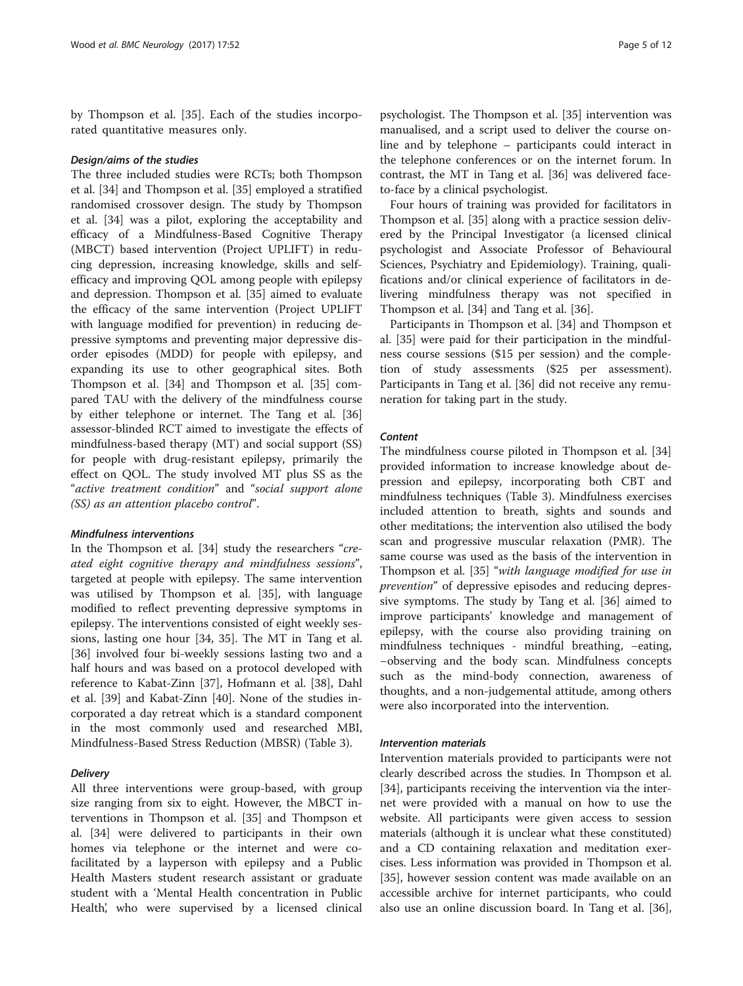by Thompson et al. [[35\]](#page-11-0). Each of the studies incorporated quantitative measures only.

#### Design/aims of the studies

The three included studies were RCTs; both Thompson et al. [\[34](#page-11-0)] and Thompson et al. [\[35\]](#page-11-0) employed a stratified randomised crossover design. The study by Thompson et al. [\[34](#page-11-0)] was a pilot, exploring the acceptability and efficacy of a Mindfulness-Based Cognitive Therapy (MBCT) based intervention (Project UPLIFT) in reducing depression, increasing knowledge, skills and selfefficacy and improving QOL among people with epilepsy and depression. Thompson et al. [\[35](#page-11-0)] aimed to evaluate the efficacy of the same intervention (Project UPLIFT with language modified for prevention) in reducing depressive symptoms and preventing major depressive disorder episodes (MDD) for people with epilepsy, and expanding its use to other geographical sites. Both Thompson et al. [\[34](#page-11-0)] and Thompson et al. [[35](#page-11-0)] compared TAU with the delivery of the mindfulness course by either telephone or internet. The Tang et al. [[36](#page-11-0)] assessor-blinded RCT aimed to investigate the effects of mindfulness-based therapy (MT) and social support (SS) for people with drug-resistant epilepsy, primarily the effect on QOL. The study involved MT plus SS as the "active treatment condition" and "social support alone (SS) as an attention placebo control".

#### Mindfulness interventions

In the Thompson et al. [\[34\]](#page-11-0) study the researchers "created eight cognitive therapy and mindfulness sessions", targeted at people with epilepsy. The same intervention was utilised by Thompson et al. [\[35\]](#page-11-0), with language modified to reflect preventing depressive symptoms in epilepsy. The interventions consisted of eight weekly sessions, lasting one hour [[34](#page-11-0), [35](#page-11-0)]. The MT in Tang et al. [[36\]](#page-11-0) involved four bi-weekly sessions lasting two and a half hours and was based on a protocol developed with reference to Kabat-Zinn [\[37](#page-11-0)], Hofmann et al. [\[38](#page-11-0)], Dahl et al. [\[39\]](#page-11-0) and Kabat-Zinn [\[40\]](#page-11-0). None of the studies incorporated a day retreat which is a standard component in the most commonly used and researched MBI, Mindfulness-Based Stress Reduction (MBSR) (Table [3](#page-5-0)).

#### **Delivery**

All three interventions were group-based, with group size ranging from six to eight. However, the MBCT interventions in Thompson et al. [\[35\]](#page-11-0) and Thompson et al. [\[34](#page-11-0)] were delivered to participants in their own homes via telephone or the internet and were cofacilitated by a layperson with epilepsy and a Public Health Masters student research assistant or graduate student with a 'Mental Health concentration in Public Health', who were supervised by a licensed clinical

psychologist. The Thompson et al. [[35\]](#page-11-0) intervention was manualised, and a script used to deliver the course online and by telephone – participants could interact in the telephone conferences or on the internet forum. In contrast, the MT in Tang et al. [[36\]](#page-11-0) was delivered faceto-face by a clinical psychologist.

Four hours of training was provided for facilitators in Thompson et al. [[35](#page-11-0)] along with a practice session delivered by the Principal Investigator (a licensed clinical psychologist and Associate Professor of Behavioural Sciences, Psychiatry and Epidemiology). Training, qualifications and/or clinical experience of facilitators in delivering mindfulness therapy was not specified in Thompson et al. [[34\]](#page-11-0) and Tang et al. [[36](#page-11-0)].

Participants in Thompson et al. [\[34\]](#page-11-0) and Thompson et al. [[35](#page-11-0)] were paid for their participation in the mindfulness course sessions (\$15 per session) and the completion of study assessments (\$25 per assessment). Participants in Tang et al. [\[36\]](#page-11-0) did not receive any remuneration for taking part in the study.

#### **Content**

The mindfulness course piloted in Thompson et al. [[34](#page-11-0)] provided information to increase knowledge about depression and epilepsy, incorporating both CBT and mindfulness techniques (Table [3](#page-5-0)). Mindfulness exercises included attention to breath, sights and sounds and other meditations; the intervention also utilised the body scan and progressive muscular relaxation (PMR). The same course was used as the basis of the intervention in Thompson et al. [[35](#page-11-0)] "with language modified for use in prevention" of depressive episodes and reducing depressive symptoms. The study by Tang et al. [\[36](#page-11-0)] aimed to improve participants' knowledge and management of epilepsy, with the course also providing training on mindfulness techniques - mindful breathing, −eating, −observing and the body scan. Mindfulness concepts such as the mind-body connection, awareness of thoughts, and a non-judgemental attitude, among others were also incorporated into the intervention.

#### Intervention materials

Intervention materials provided to participants were not clearly described across the studies. In Thompson et al. [[34\]](#page-11-0), participants receiving the intervention via the internet were provided with a manual on how to use the website. All participants were given access to session materials (although it is unclear what these constituted) and a CD containing relaxation and meditation exercises. Less information was provided in Thompson et al. [[35\]](#page-11-0), however session content was made available on an accessible archive for internet participants, who could also use an online discussion board. In Tang et al. [\[36](#page-11-0)],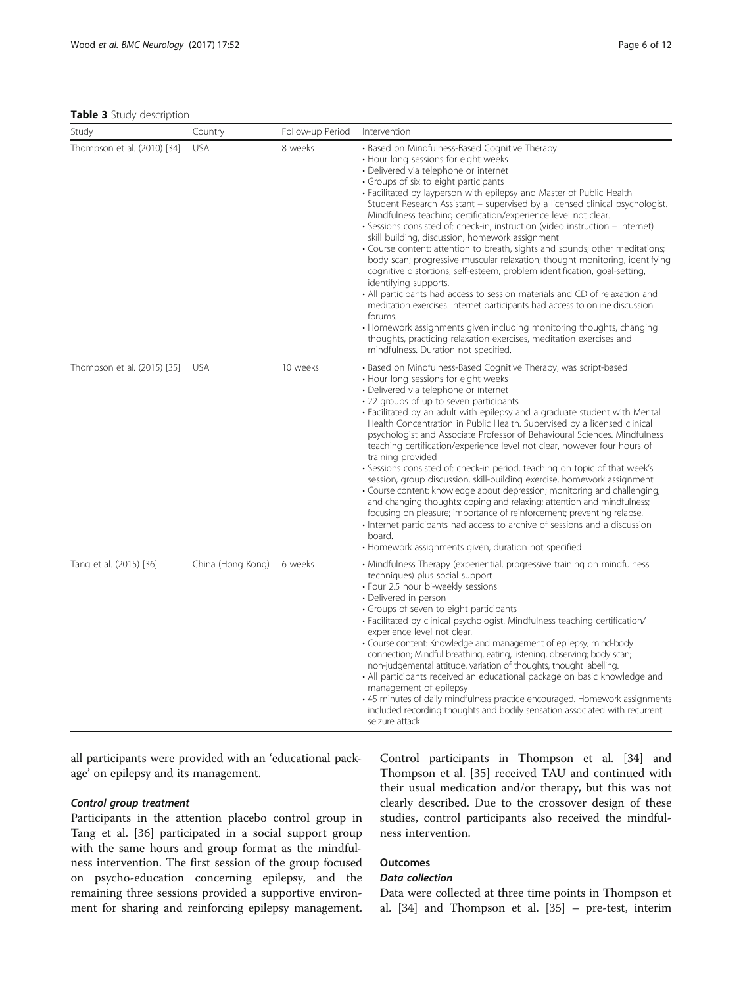<span id="page-5-0"></span>Table 3 Study description

| Study                       | Country           | Follow-up Period | Intervention                                                                                                                                                                                                                                                                                                                                                                                                                                                                                                                                                                                                                                                                                                                                                                                                                                                                                                                                                                                                                                                                                                                                                                |
|-----------------------------|-------------------|------------------|-----------------------------------------------------------------------------------------------------------------------------------------------------------------------------------------------------------------------------------------------------------------------------------------------------------------------------------------------------------------------------------------------------------------------------------------------------------------------------------------------------------------------------------------------------------------------------------------------------------------------------------------------------------------------------------------------------------------------------------------------------------------------------------------------------------------------------------------------------------------------------------------------------------------------------------------------------------------------------------------------------------------------------------------------------------------------------------------------------------------------------------------------------------------------------|
| Thompson et al. (2010) [34] | <b>USA</b>        | 8 weeks          | • Based on Mindfulness-Based Cognitive Therapy<br>• Hour long sessions for eight weeks<br>• Delivered via telephone or internet<br>• Groups of six to eight participants<br>• Facilitated by layperson with epilepsy and Master of Public Health<br>Student Research Assistant - supervised by a licensed clinical psychologist.<br>Mindfulness teaching certification/experience level not clear.<br>· Sessions consisted of: check-in, instruction (video instruction – internet)<br>skill building, discussion, homework assignment<br>• Course content: attention to breath, sights and sounds; other meditations;<br>body scan; progressive muscular relaxation; thought monitoring, identifying<br>cognitive distortions, self-esteem, problem identification, goal-setting,<br>identifying supports.<br>• All participants had access to session materials and CD of relaxation and<br>meditation exercises. Internet participants had access to online discussion<br>forums.<br>• Homework assignments given including monitoring thoughts, changing<br>thoughts, practicing relaxation exercises, meditation exercises and<br>mindfulness. Duration not specified. |
| Thompson et al. (2015) [35] | <b>USA</b>        | 10 weeks         | • Based on Mindfulness-Based Cognitive Therapy, was script-based<br>• Hour long sessions for eight weeks<br>• Delivered via telephone or internet<br>• 22 groups of up to seven participants<br>• Facilitated by an adult with epilepsy and a graduate student with Mental<br>Health Concentration in Public Health. Supervised by a licensed clinical<br>psychologist and Associate Professor of Behavioural Sciences. Mindfulness<br>teaching certification/experience level not clear, however four hours of<br>training provided<br>· Sessions consisted of: check-in period, teaching on topic of that week's<br>session, group discussion, skill-building exercise, homework assignment<br>• Course content: knowledge about depression; monitoring and challenging,<br>and changing thoughts; coping and relaxing; attention and mindfulness;<br>focusing on pleasure; importance of reinforcement; preventing relapse.<br>• Internet participants had access to archive of sessions and a discussion<br>board.<br>• Homework assignments given, duration not specified                                                                                              |
| Tang et al. (2015) [36]     | China (Hong Kong) | 6 weeks          | • Mindfulness Therapy (experiential, progressive training on mindfulness<br>techniques) plus social support<br>• Four 2.5 hour bi-weekly sessions<br>• Delivered in person<br>· Groups of seven to eight participants<br>• Facilitated by clinical psychologist. Mindfulness teaching certification/<br>experience level not clear.<br>• Course content: Knowledge and management of epilepsy; mind-body<br>connection; Mindful breathing, eating, listening, observing; body scan;<br>non-judgemental attitude, variation of thoughts, thought labelling.<br>• All participants received an educational package on basic knowledge and<br>management of epilepsy<br>• 45 minutes of daily mindfulness practice encouraged. Homework assignments<br>included recording thoughts and bodily sensation associated with recurrent<br>seizure attack                                                                                                                                                                                                                                                                                                                            |

all participants were provided with an 'educational package' on epilepsy and its management.

# Control group treatment

Participants in the attention placebo control group in Tang et al. [[36](#page-11-0)] participated in a social support group with the same hours and group format as the mindfulness intervention. The first session of the group focused on psycho-education concerning epilepsy, and the remaining three sessions provided a supportive environment for sharing and reinforcing epilepsy management.

Control participants in Thompson et al. [[34\]](#page-11-0) and Thompson et al. [\[35\]](#page-11-0) received TAU and continued with their usual medication and/or therapy, but this was not clearly described. Due to the crossover design of these studies, control participants also received the mindfulness intervention.

# Outcomes

# Data collection

Data were collected at three time points in Thompson et al. [\[34\]](#page-11-0) and Thompson et al. [[35](#page-11-0)] – pre-test, interim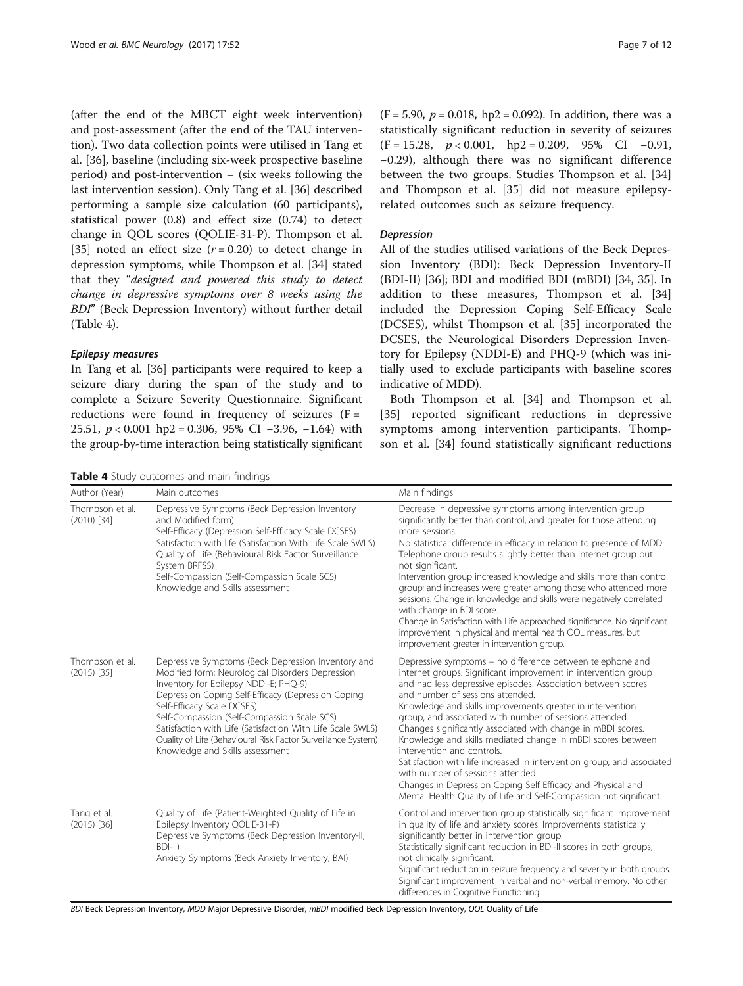(after the end of the MBCT eight week intervention) and post-assessment (after the end of the TAU intervention). Two data collection points were utilised in Tang et al. [[36\]](#page-11-0), baseline (including six-week prospective baseline period) and post-intervention – (six weeks following the last intervention session). Only Tang et al. [[36\]](#page-11-0) described performing a sample size calculation (60 participants), statistical power (0.8) and effect size (0.74) to detect change in QOL scores (QOLIE-31-P). Thompson et al. [[35\]](#page-11-0) noted an effect size  $(r = 0.20)$  to detect change in depression symptoms, while Thompson et al. [\[34\]](#page-11-0) stated that they "designed and powered this study to detect change in depressive symptoms over 8 weeks using the BDI" (Beck Depression Inventory) without further detail (Table 4).

#### Epilepsy measures

In Tang et al. [[36\]](#page-11-0) participants were required to keep a seizure diary during the span of the study and to complete a Seizure Severity Questionnaire. Significant reductions were found in frequency of seizures  $(F =$ 25.51,  $p < 0.001$  hp2 = 0.306, 95% CI -3.96, -1.64) with the group-by-time interaction being statistically significant

Table 4 Study outcomes and main findings

 $(F = 5.90, p = 0.018, hp2 = 0.092)$ . In addition, there was a statistically significant reduction in severity of seizures  $(F = 15.28, p < 0.001, hp2 = 0.209, 95\% \text{ CI} -0.91,$ −0.29), although there was no significant difference between the two groups. Studies Thompson et al. [\[34](#page-11-0)] and Thompson et al. [\[35](#page-11-0)] did not measure epilepsyrelated outcomes such as seizure frequency.

#### Depression

All of the studies utilised variations of the Beck Depression Inventory (BDI): Beck Depression Inventory-II (BDI-II) [[36\]](#page-11-0); BDI and modified BDI (mBDI) [\[34](#page-11-0), [35](#page-11-0)]. In addition to these measures, Thompson et al. [[34](#page-11-0)] included the Depression Coping Self-Efficacy Scale (DCSES), whilst Thompson et al. [\[35\]](#page-11-0) incorporated the DCSES, the Neurological Disorders Depression Inventory for Epilepsy (NDDI-E) and PHQ-9 (which was initially used to exclude participants with baseline scores indicative of MDD).

Both Thompson et al. [[34\]](#page-11-0) and Thompson et al. [[35\]](#page-11-0) reported significant reductions in depressive symptoms among intervention participants. Thompson et al. [[34\]](#page-11-0) found statistically significant reductions

| Author (Year)                    | Main outcomes                                                                                                                                                                                                                                                                                                                                                                                                                                        | Main findings                                                                                                                                                                                                                                                                                                                                                                                                                                                                                                                                                                                                                                                                                                                                                            |
|----------------------------------|------------------------------------------------------------------------------------------------------------------------------------------------------------------------------------------------------------------------------------------------------------------------------------------------------------------------------------------------------------------------------------------------------------------------------------------------------|--------------------------------------------------------------------------------------------------------------------------------------------------------------------------------------------------------------------------------------------------------------------------------------------------------------------------------------------------------------------------------------------------------------------------------------------------------------------------------------------------------------------------------------------------------------------------------------------------------------------------------------------------------------------------------------------------------------------------------------------------------------------------|
| Thompson et al.<br>$(2010)$ [34] | Depressive Symptoms (Beck Depression Inventory<br>and Modified form)<br>Self-Efficacy (Depression Self-Efficacy Scale DCSES)<br>Satisfaction with life (Satisfaction With Life Scale SWLS)<br>Quality of Life (Behavioural Risk Factor Surveillance<br>System BRFSS)<br>Self-Compassion (Self-Compassion Scale SCS)<br>Knowledge and Skills assessment                                                                                               | Decrease in depressive symptoms among intervention group<br>significantly better than control, and greater for those attending<br>more sessions.<br>No statistical difference in efficacy in relation to presence of MDD.<br>Telephone group results slightly better than internet group but<br>not significant.<br>Intervention group increased knowledge and skills more than control<br>group; and increases were greater among those who attended more<br>sessions. Change in knowledge and skills were negatively correlated<br>with change in BDI score.<br>Change in Satisfaction with Life approached significance. No significant<br>improvement in physical and mental health QOL measures, but<br>improvement greater in intervention group.                  |
| Thompson et al.<br>$(2015)$ [35] | Depressive Symptoms (Beck Depression Inventory and<br>Modified form; Neurological Disorders Depression<br>Inventory for Epilepsy NDDI-E; PHQ-9)<br>Depression Coping Self-Efficacy (Depression Coping<br>Self-Efficacy Scale DCSES)<br>Self-Compassion (Self-Compassion Scale SCS)<br>Satisfaction with Life (Satisfaction With Life Scale SWLS)<br>Quality of Life (Behavioural Risk Factor Surveillance System)<br>Knowledge and Skills assessment | Depressive symptoms – no difference between telephone and<br>internet groups. Significant improvement in intervention group<br>and had less depressive episodes. Association between scores<br>and number of sessions attended.<br>Knowledge and skills improvements greater in intervention<br>group, and associated with number of sessions attended.<br>Changes significantly associated with change in mBDI scores.<br>Knowledge and skills mediated change in mBDI scores between<br>intervention and controls.<br>Satisfaction with life increased in intervention group, and associated<br>with number of sessions attended.<br>Changes in Depression Coping Self Efficacy and Physical and<br>Mental Health Quality of Life and Self-Compassion not significant. |
| Tang et al.<br>$(2015)$ [36]     | Quality of Life (Patient-Weighted Quality of Life in<br>Epilepsy Inventory QOLIE-31-P)<br>Depressive Symptoms (Beck Depression Inventory-II,<br>BDI-II)<br>Anxiety Symptoms (Beck Anxiety Inventory, BAI)                                                                                                                                                                                                                                            | Control and intervention group statistically significant improvement<br>in quality of life and anxiety scores. Improvements statistically<br>significantly better in intervention group.<br>Statistically significant reduction in BDI-II scores in both groups,<br>not clinically significant.<br>Significant reduction in seizure frequency and severity in both groups.<br>Significant improvement in verbal and non-verbal memory. No other<br>differences in Cognitive Functioning.                                                                                                                                                                                                                                                                                 |

BDI Beck Depression Inventory, MDD Major Depressive Disorder, mBDI modified Beck Depression Inventory, QOL Quality of Life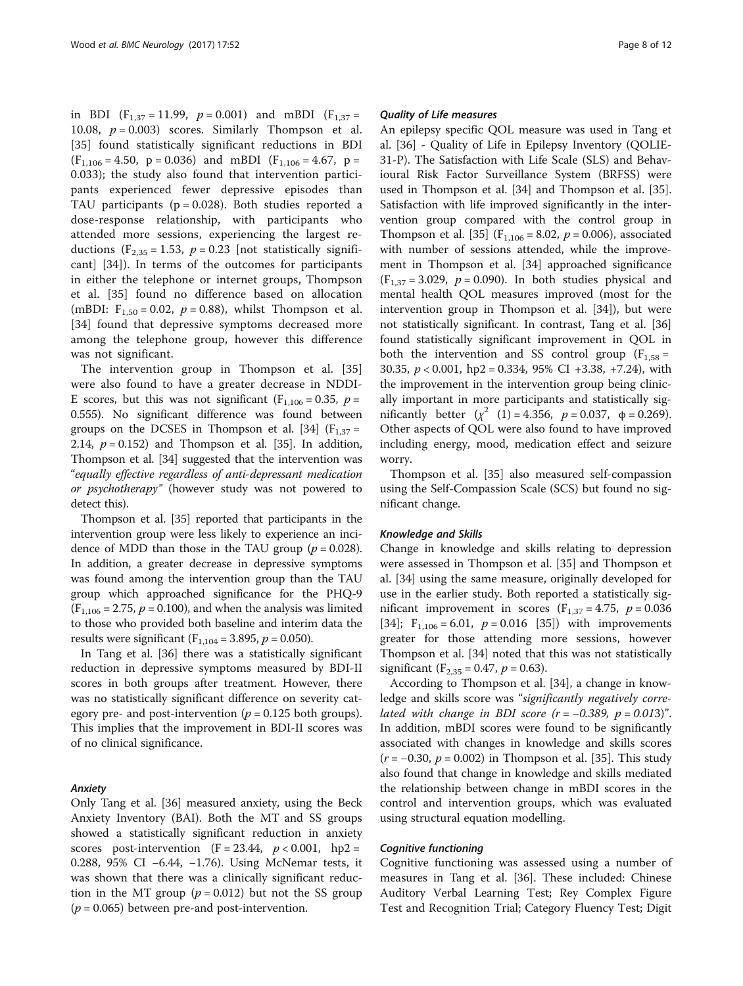in BDI (F<sub>1,37</sub> = 11.99,  $p = 0.001$ ) and mBDI (F<sub>1,37</sub> = 10.08,  $p = 0.003$ ) scores. Similarly Thompson et al. [[35\]](#page-11-0) found statistically significant reductions in BDI  $(F_{1,106} = 4.50, p = 0.036)$  and mBDI  $(F_{1,106} = 4.67, p =$ 0.033); the study also found that intervention participants experienced fewer depressive episodes than TAU participants ( $p = 0.028$ ). Both studies reported a dose-response relationship, with participants who attended more sessions, experiencing the largest reductions ( $F_{2,35} = 1.53$ ,  $p = 0.23$  [not statistically significant] [\[34](#page-11-0)]). In terms of the outcomes for participants in either the telephone or internet groups, Thompson et al. [\[35](#page-11-0)] found no difference based on allocation (mBDI:  $F_{1,50} = 0.02$ ,  $p = 0.88$ ), whilst Thompson et al. [[34\]](#page-11-0) found that depressive symptoms decreased more among the telephone group, however this difference was not significant.

The intervention group in Thompson et al. [\[35](#page-11-0)] were also found to have a greater decrease in NDDI-E scores, but this was not significant ( $F_{1,106} = 0.35$ ,  $p =$ 0.555). No significant difference was found between groups on the DCSES in Thompson et al. [\[34\]](#page-11-0)  $(F_{1,37} =$ 2.14,  $p = 0.152$ ) and Thompson et al. [\[35\]](#page-11-0). In addition, Thompson et al. [\[34\]](#page-11-0) suggested that the intervention was "equally effective regardless of anti-depressant medication or psychotherapy" (however study was not powered to detect this).

Thompson et al. [\[35\]](#page-11-0) reported that participants in the intervention group were less likely to experience an incidence of MDD than those in the TAU group ( $p = 0.028$ ). In addition, a greater decrease in depressive symptoms was found among the intervention group than the TAU group which approached significance for the PHQ-9  $(F_{1,106} = 2.75, p = 0.100)$ , and when the analysis was limited to those who provided both baseline and interim data the results were significant ( $F_{1,104} = 3.895$ ,  $p = 0.050$ ).

In Tang et al. [[36\]](#page-11-0) there was a statistically significant reduction in depressive symptoms measured by BDI-II scores in both groups after treatment. However, there was no statistically significant difference on severity category pre- and post-intervention ( $p = 0.125$  both groups). This implies that the improvement in BDI-II scores was of no clinical significance.

#### Anxiety

Only Tang et al. [[36](#page-11-0)] measured anxiety, using the Beck Anxiety Inventory (BAI). Both the MT and SS groups showed a statistically significant reduction in anxiety scores post-intervention  $(F = 23.44, p < 0.001, hp2 =$ 0.288, 95% CI −6.44, −1.76). Using McNemar tests, it was shown that there was a clinically significant reduction in the MT group ( $p = 0.012$ ) but not the SS group  $(p = 0.065)$  between pre-and post-intervention.

#### Quality of Life measures

An epilepsy specific QOL measure was used in Tang et al. [[36\]](#page-11-0) - Quality of Life in Epilepsy Inventory (QOLIE-31-P). The Satisfaction with Life Scale (SLS) and Behavioural Risk Factor Surveillance System (BRFSS) were used in Thompson et al. [\[34](#page-11-0)] and Thompson et al. [\[35](#page-11-0)]. Satisfaction with life improved significantly in the intervention group compared with the control group in Thompson et al. [\[35\]](#page-11-0)  $(F_{1,106} = 8.02, p = 0.006)$ , associated with number of sessions attended, while the improvement in Thompson et al. [[34](#page-11-0)] approached significance  $(F_{1,37} = 3.029, p = 0.090)$ . In both studies physical and mental health QOL measures improved (most for the intervention group in Thompson et al. [\[34](#page-11-0)]), but were not statistically significant. In contrast, Tang et al. [[36](#page-11-0)] found statistically significant improvement in QOL in both the intervention and SS control group  $(F_{1,58} =$ 30.35,  $p < 0.001$ , hp2 = 0.334, 95% CI +3.38, +7.24), with the improvement in the intervention group being clinically important in more participants and statistically significantly better  $(\chi^2 \ (1) = 4.356, \ p = 0.037, \ \phi = 0.269)$ . Other aspects of QOL were also found to have improved including energy, mood, medication effect and seizure worry.

Thompson et al. [\[35\]](#page-11-0) also measured self-compassion using the Self-Compassion Scale (SCS) but found no significant change.

#### Knowledge and Skills

Change in knowledge and skills relating to depression were assessed in Thompson et al. [[35\]](#page-11-0) and Thompson et al. [\[34](#page-11-0)] using the same measure, originally developed for use in the earlier study. Both reported a statistically significant improvement in scores ( $F_{1,37} = 4.75$ ,  $p = 0.036$ ) [[34\]](#page-11-0);  $F_{1,106} = 6.01$ ,  $p = 0.016$  [[35](#page-11-0)]) with improvements greater for those attending more sessions, however Thompson et al. [[34](#page-11-0)] noted that this was not statistically significant ( $F_{2,35} = 0.47$ ,  $p = 0.63$ ).

According to Thompson et al. [[34\]](#page-11-0), a change in knowledge and skills score was "significantly negatively correlated with change in BDI score  $(r = -0.389, p = 0.013)$ ". In addition, mBDI scores were found to be significantly associated with changes in knowledge and skills scores  $(r = -0.30, p = 0.002)$  in Thompson et al. [\[35\]](#page-11-0). This study also found that change in knowledge and skills mediated the relationship between change in mBDI scores in the control and intervention groups, which was evaluated using structural equation modelling.

### Cognitive functioning

Cognitive functioning was assessed using a number of measures in Tang et al. [[36\]](#page-11-0). These included: Chinese Auditory Verbal Learning Test; Rey Complex Figure Test and Recognition Trial; Category Fluency Test; Digit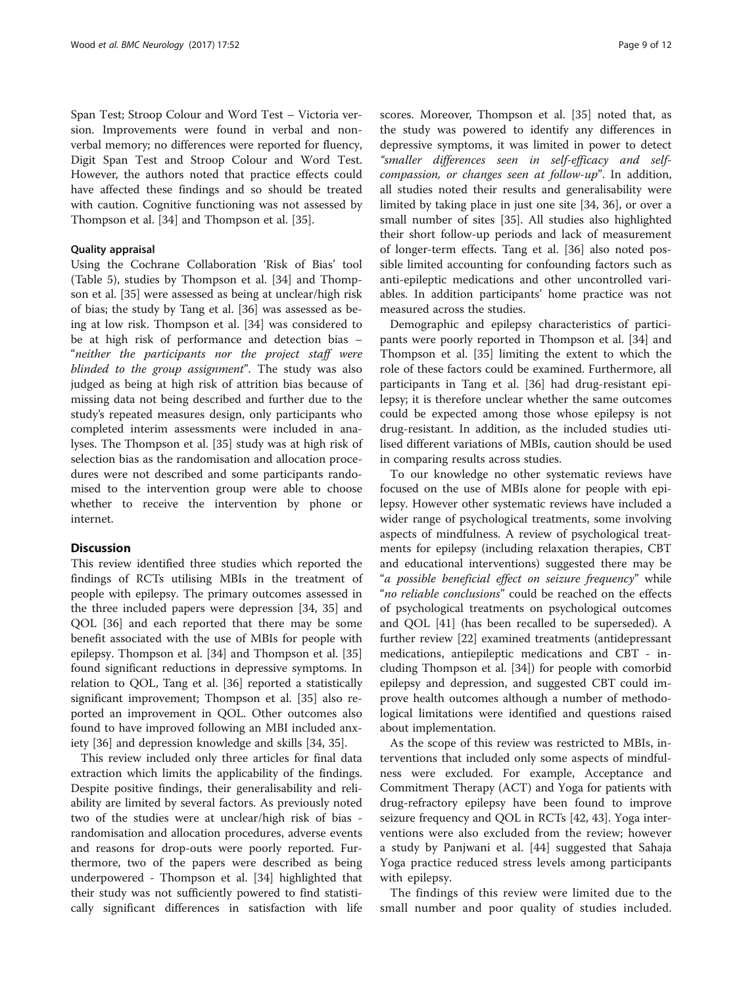Span Test; Stroop Colour and Word Test – Victoria version. Improvements were found in verbal and nonverbal memory; no differences were reported for fluency, Digit Span Test and Stroop Colour and Word Test. However, the authors noted that practice effects could have affected these findings and so should be treated with caution. Cognitive functioning was not assessed by Thompson et al. [[34\]](#page-11-0) and Thompson et al. [\[35\]](#page-11-0).

## Quality appraisal

Using the Cochrane Collaboration 'Risk of Bias' tool (Table [5\)](#page-9-0), studies by Thompson et al. [\[34\]](#page-11-0) and Thompson et al. [[35](#page-11-0)] were assessed as being at unclear/high risk of bias; the study by Tang et al. [\[36\]](#page-11-0) was assessed as being at low risk. Thompson et al. [[34\]](#page-11-0) was considered to be at high risk of performance and detection bias – "neither the participants nor the project staff were blinded to the group assignment". The study was also judged as being at high risk of attrition bias because of missing data not being described and further due to the study's repeated measures design, only participants who completed interim assessments were included in analyses. The Thompson et al. [\[35](#page-11-0)] study was at high risk of selection bias as the randomisation and allocation procedures were not described and some participants randomised to the intervention group were able to choose whether to receive the intervention by phone or internet.

#### **Discussion**

This review identified three studies which reported the findings of RCTs utilising MBIs in the treatment of people with epilepsy. The primary outcomes assessed in the three included papers were depression [[34](#page-11-0), [35](#page-11-0)] and QOL [[36](#page-11-0)] and each reported that there may be some benefit associated with the use of MBIs for people with epilepsy. Thompson et al. [[34\]](#page-11-0) and Thompson et al. [[35](#page-11-0)] found significant reductions in depressive symptoms. In relation to QOL, Tang et al. [[36\]](#page-11-0) reported a statistically significant improvement; Thompson et al. [\[35](#page-11-0)] also reported an improvement in QOL. Other outcomes also found to have improved following an MBI included anxiety [\[36](#page-11-0)] and depression knowledge and skills [\[34](#page-11-0), [35](#page-11-0)].

This review included only three articles for final data extraction which limits the applicability of the findings. Despite positive findings, their generalisability and reliability are limited by several factors. As previously noted two of the studies were at unclear/high risk of bias randomisation and allocation procedures, adverse events and reasons for drop-outs were poorly reported. Furthermore, two of the papers were described as being underpowered - Thompson et al. [\[34](#page-11-0)] highlighted that their study was not sufficiently powered to find statistically significant differences in satisfaction with life scores. Moreover, Thompson et al. [\[35](#page-11-0)] noted that, as the study was powered to identify any differences in depressive symptoms, it was limited in power to detect "smaller differences seen in self-efficacy and selfcompassion, or changes seen at follow-up". In addition, all studies noted their results and generalisability were limited by taking place in just one site [\[34](#page-11-0), [36](#page-11-0)], or over a small number of sites [\[35](#page-11-0)]. All studies also highlighted their short follow-up periods and lack of measurement of longer-term effects. Tang et al. [[36](#page-11-0)] also noted possible limited accounting for confounding factors such as anti-epileptic medications and other uncontrolled variables. In addition participants' home practice was not measured across the studies.

Demographic and epilepsy characteristics of participants were poorly reported in Thompson et al. [\[34\]](#page-11-0) and Thompson et al. [[35\]](#page-11-0) limiting the extent to which the role of these factors could be examined. Furthermore, all participants in Tang et al. [\[36\]](#page-11-0) had drug-resistant epilepsy; it is therefore unclear whether the same outcomes could be expected among those whose epilepsy is not drug-resistant. In addition, as the included studies utilised different variations of MBIs, caution should be used in comparing results across studies.

To our knowledge no other systematic reviews have focused on the use of MBIs alone for people with epilepsy. However other systematic reviews have included a wider range of psychological treatments, some involving aspects of mindfulness. A review of psychological treatments for epilepsy (including relaxation therapies, CBT and educational interventions) suggested there may be "a possible beneficial effect on seizure frequency" while "no reliable conclusions" could be reached on the effects of psychological treatments on psychological outcomes and QOL [\[41](#page-11-0)] (has been recalled to be superseded). A further review [[22\]](#page-11-0) examined treatments (antidepressant medications, antiepileptic medications and CBT - including Thompson et al. [[34\]](#page-11-0)) for people with comorbid epilepsy and depression, and suggested CBT could improve health outcomes although a number of methodological limitations were identified and questions raised about implementation.

As the scope of this review was restricted to MBIs, interventions that included only some aspects of mindfulness were excluded. For example, Acceptance and Commitment Therapy (ACT) and Yoga for patients with drug-refractory epilepsy have been found to improve seizure frequency and QOL in RCTs [[42, 43\]](#page-11-0). Yoga interventions were also excluded from the review; however a study by Panjwani et al. [[44\]](#page-11-0) suggested that Sahaja Yoga practice reduced stress levels among participants with epilepsy.

The findings of this review were limited due to the small number and poor quality of studies included.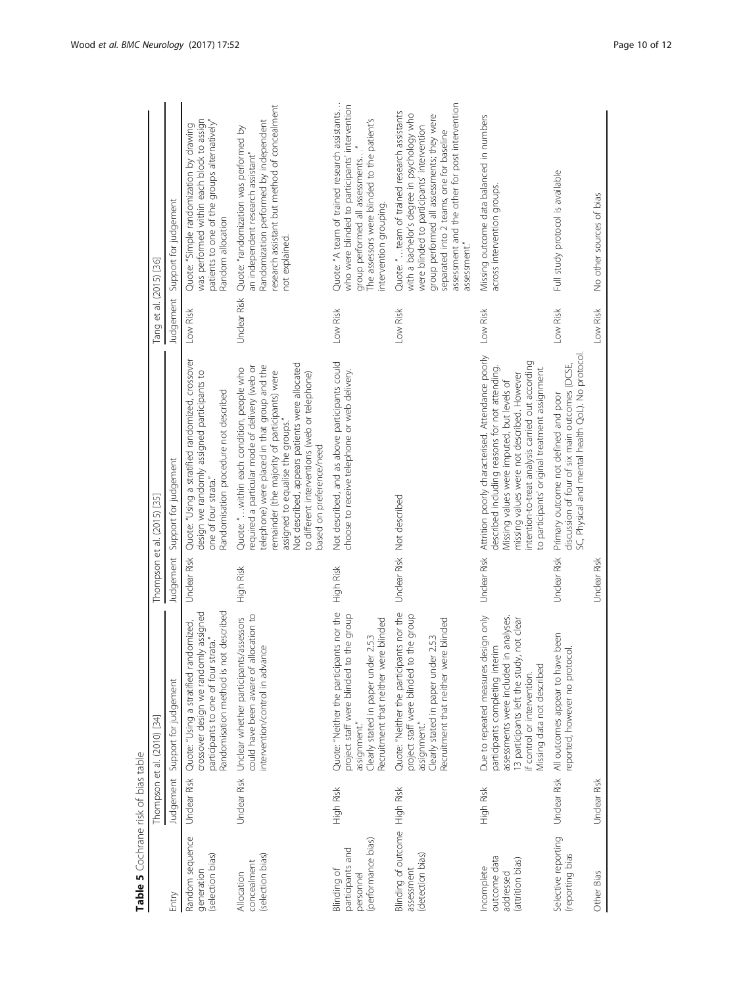<span id="page-9-0"></span>

|                                                                    |                     | Thompson et al. (2010) [34]                                                                                                                                                                                                   |                     | Thompson et al. (2015) [35]                                                                                                                                                                                                                                                                                                                                      | Tang et al. (2015) [36] |                                                                                                                                                                                                                                                                                                     |
|--------------------------------------------------------------------|---------------------|-------------------------------------------------------------------------------------------------------------------------------------------------------------------------------------------------------------------------------|---------------------|------------------------------------------------------------------------------------------------------------------------------------------------------------------------------------------------------------------------------------------------------------------------------------------------------------------------------------------------------------------|-------------------------|-----------------------------------------------------------------------------------------------------------------------------------------------------------------------------------------------------------------------------------------------------------------------------------------------------|
| Entry                                                              | Judgement           | Support for judgement                                                                                                                                                                                                         | Judgement           | Support for judgement                                                                                                                                                                                                                                                                                                                                            | Judgement               | Support for judgement                                                                                                                                                                                                                                                                               |
| Random sequence<br>(selection bias)<br>generation                  | <b>Unclear Risk</b> | Randomisation method is not described<br>crossover design we randomly assigned<br>Quote: "Using a stratified randomized,<br>participants to one of four strata."                                                              | <b>Unclear Risk</b> | Quote: "Using a stratified randomized, crossover<br>design we randomly assigned participants to<br>Randomisation procedure not described<br>one of four strata.                                                                                                                                                                                                  | Low Risk                | was performed within each block to assign<br>patients to one of the groups alternatively"<br>Quote: "Simple randomization by drawing<br>Random allocation                                                                                                                                           |
| (selection bias)<br>concealment<br>Allocation                      | <b>Unclear Risk</b> | could have been aware of allocation to<br>Unclear whether participants/assessors<br>intervention/control in advance                                                                                                           | High Risk           | Not described, appears patients were allocated<br>telephone) were placed in that group and the<br>required a particular mode of delivery (web or<br>Quote: "within each condition, people who<br>remainder (the majority of participants) were<br>to different interventions (web or telephone)<br>assigned to equalise the groups."<br>based on preference/need | <b>Undear Risk</b>      | research assistant but method of concealment<br>Randomization performed by independent<br>Quote: "randomization was performed by<br>an independent research assistant"<br>not explained.                                                                                                            |
| (performance bias)<br>participants and<br>Blinding of<br>personnel | High Risk           | Quote: "Neither the participants nor the<br>project staff were blinded to the group<br>Recruitment that neither were blinded<br>Clearly stated in paper under 2.5.3<br>assignment."                                           | High Risk           | Not described, and as above participants could<br>choose to receive telephone or web delivery.                                                                                                                                                                                                                                                                   | Low Risk                | Quote: "A team of trained research assistants<br>who were blinded to participants' intervention<br>The assessors were blinded to the patient's<br>group performed all assessments<br>ntervention grouping.                                                                                          |
| Blinding of outcome High Risk<br>(detection bias)<br>assessment    |                     | Quote: "Neither the participants nor the<br>project staff were blinded to the group<br>Recruitment that neither were blinded<br>Clearly stated in paper under 2.5.3<br>assignment."                                           |                     | Unclear Risk Not described                                                                                                                                                                                                                                                                                                                                       | Low Risk                | assessment and the other for post intervention<br>Quote: "team of trained research assistants<br>with a bachelor's degree in psychology who<br>group performed all assessments; they were<br>were blinded to participants' intervention<br>separated into 2 teams, one for baseline<br>assessment." |
| outcome data<br>(attrition bias)<br>ncomplete<br>addressed         | High Risk           | Due to repeated measures design only<br>assessments were included in analyses.<br>not clear<br>participants completing interim<br>13 participants left the study<br>Missing data not described<br>if control or intervention. | <b>Unclear Risk</b> | Attrition poorly characterised. Attendance poorly<br>intention-to-treat analysis carried out according<br>described including reasons for not attending.<br>to participants' original treatment assignment.<br>missing values were not described. However<br>Missing values were imputed, but levels of                                                          | Low Risk                | Missing outcome data balanced in numbers<br>across intervention groups.                                                                                                                                                                                                                             |
| Selective reporting<br>teporting bias                              | <b>Unclear Risk</b> | All outcomes appear to have been<br>reported, however no protocol.                                                                                                                                                            | Unclear Risk        | SC, Physical and mental health QoL). No protocol<br>discussion of four of six main outcomes (DCSE,<br>Primary outcome not defined and poor                                                                                                                                                                                                                       | Low Risk                | Full study protocol is available                                                                                                                                                                                                                                                                    |
| Other Bias                                                         | Unclear Risk        |                                                                                                                                                                                                                               | <b>Unclear Risk</b> |                                                                                                                                                                                                                                                                                                                                                                  | Low Risk                | No other sources of bias                                                                                                                                                                                                                                                                            |

Table 5 Cochrane risk of bias table Table 5 Cochrane risk of bias table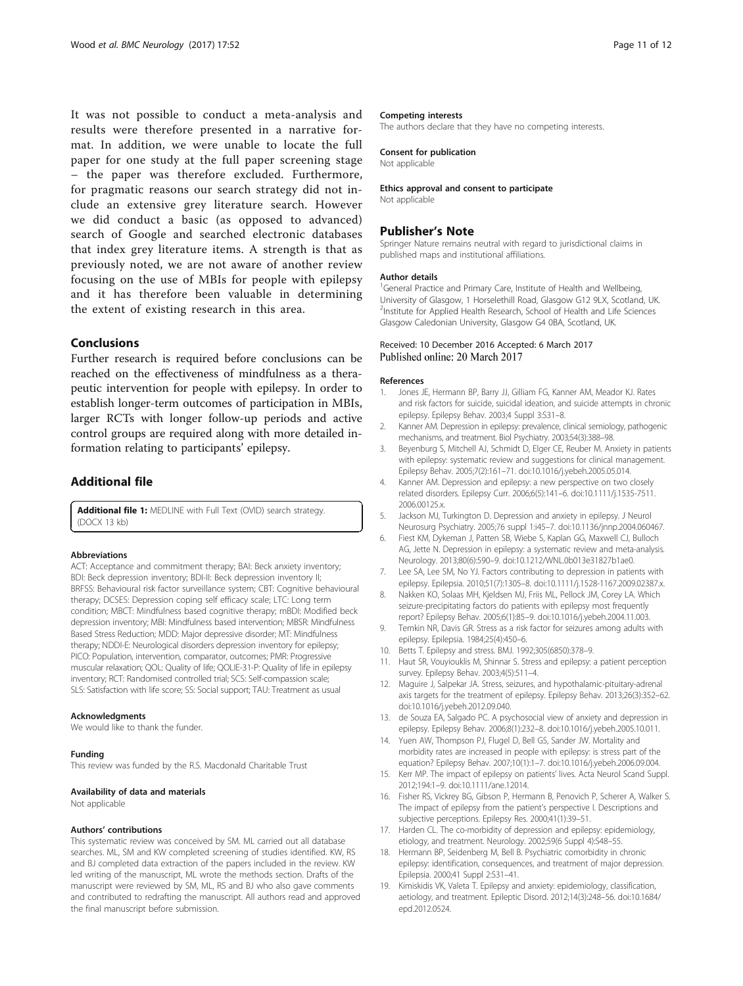<span id="page-10-0"></span>It was not possible to conduct a meta-analysis and results were therefore presented in a narrative format. In addition, we were unable to locate the full paper for one study at the full paper screening stage – the paper was therefore excluded. Furthermore, for pragmatic reasons our search strategy did not include an extensive grey literature search. However we did conduct a basic (as opposed to advanced) search of Google and searched electronic databases that index grey literature items. A strength is that as previously noted, we are not aware of another review focusing on the use of MBIs for people with epilepsy and it has therefore been valuable in determining the extent of existing research in this area.

## Conclusions

Further research is required before conclusions can be reached on the effectiveness of mindfulness as a therapeutic intervention for people with epilepsy. In order to establish longer-term outcomes of participation in MBIs, larger RCTs with longer follow-up periods and active control groups are required along with more detailed information relating to participants' epilepsy.

# Additional file

[Additional file 1:](dx.doi.org/10.1186/s12883-017-0832-3) MEDLINE with Full Text (OVID) search strategy. (DOCX 13 kb)

#### Abbreviations

ACT: Acceptance and commitment therapy; BAI: Beck anxiety inventory; BDI: Beck depression inventory; BDI-II: Beck depression inventory II; BRFSS: Behavioural risk factor surveillance system; CBT: Cognitive behavioural therapy; DCSES: Depression coping self efficacy scale; LTC: Long term condition; MBCT: Mindfulness based cognitive therapy; mBDI: Modified beck depression inventory; MBI: Mindfulness based intervention; MBSR: Mindfulness Based Stress Reduction; MDD: Major depressive disorder; MT: Mindfulness therapy; NDDI-E: Neurological disorders depression inventory for epilepsy; PICO: Population, intervention, comparator, outcomes; PMR: Progressive muscular relaxation; QOL: Quality of life; QOLIE-31-P: Quality of life in epilepsy inventory; RCT: Randomised controlled trial; SCS: Self-compassion scale; SLS: Satisfaction with life score; SS: Social support; TAU: Treatment as usual

#### Acknowledgments

We would like to thank the funder.

#### Funding

This review was funded by the R.S. Macdonald Charitable Trust

#### Availability of data and materials

Not applicable

#### Authors' contributions

This systematic review was conceived by SM. ML carried out all database searches. ML, SM and KW completed screening of studies identified. KW, RS and BJ completed data extraction of the papers included in the review. KW led writing of the manuscript, ML wrote the methods section. Drafts of the manuscript were reviewed by SM, ML, RS and BJ who also gave comments and contributed to redrafting the manuscript. All authors read and approved the final manuscript before submission.

#### Competing interests

The authors declare that they have no competing interests.

#### Consent for publication

Not applicable

#### Ethics approval and consent to participate Not applicable

# Publisher's Note

Springer Nature remains neutral with regard to jurisdictional claims in published maps and institutional affiliations.

#### Author details

<sup>1</sup>General Practice and Primary Care, Institute of Health and Wellbeing, University of Glasgow, 1 Horselethill Road, Glasgow G12 9LX, Scotland, UK. <sup>2</sup>Institute for Applied Health Research, School of Health and Life Sciences Glasgow Caledonian University, Glasgow G4 0BA, Scotland, UK.

#### Received: 10 December 2016 Accepted: 6 March 2017 Published online: 20 March 2017

#### References

- 1. Jones JE, Hermann BP, Barry JJ, Gilliam FG, Kanner AM, Meador KJ. Rates and risk factors for suicide, suicidal ideation, and suicide attempts in chronic epilepsy. Epilepsy Behav. 2003;4 Suppl 3:S31–8.
- 2. Kanner AM. Depression in epilepsy: prevalence, clinical semiology, pathogenic mechanisms, and treatment. Biol Psychiatry. 2003;54(3):388–98.
- 3. Beyenburg S, Mitchell AJ, Schmidt D, Elger CE, Reuber M. Anxiety in patients with epilepsy: systematic review and suggestions for clinical management. Epilepsy Behav. 2005;7(2):161–71. doi[:10.1016/j.yebeh.2005.05.014.](http://dx.doi.org/10.1016/j.yebeh.2005.05.014)
- 4. Kanner AM. Depression and epilepsy: a new perspective on two closely related disorders. Epilepsy Curr. 2006;6(5):141–6. doi[:10.1111/j.1535-7511.](http://dx.doi.org/10.1111/j.1535-7511.2006.00125.x) [2006.00125.x.](http://dx.doi.org/10.1111/j.1535-7511.2006.00125.x)
- 5. Jackson MJ, Turkington D. Depression and anxiety in epilepsy. J Neurol Neurosurg Psychiatry. 2005;76 suppl 1:i45–7. doi[:10.1136/jnnp.2004.060467.](http://dx.doi.org/10.1136/jnnp.2004.060467)
- 6. Fiest KM, Dykeman J, Patten SB, Wiebe S, Kaplan GG, Maxwell CJ, Bulloch AG, Jette N. Depression in epilepsy: a systematic review and meta-analysis. Neurology. 2013;80(6):590–9. doi:[10.1212/WNL.0b013e31827b1ae0.](http://dx.doi.org/10.1212/WNL.0b013e31827b1ae0)
- Lee SA, Lee SM, No YJ. Factors contributing to depression in patients with epilepsy. Epilepsia. 2010;51(7):1305–8. doi[:10.1111/j.1528-1167.2009.02387.x.](http://dx.doi.org/10.1111/j.1528-1167.2009.02387.x)
- 8. Nakken KO, Solaas MH, Kjeldsen MJ, Friis ML, Pellock JM, Corey LA. Which seizure-precipitating factors do patients with epilepsy most frequently report? Epilepsy Behav. 2005;6(1):85–9. doi:[10.1016/j.yebeh.2004.11.003](http://dx.doi.org/10.1016/j.yebeh.2004.11.003).
- 9. Temkin NR, Davis GR. Stress as a risk factor for seizures among adults with epilepsy. Epilepsia. 1984;25(4):450–6.
- 10. Betts T. Epilepsy and stress. BMJ. 1992;305(6850):378–9.
- 11. Haut SR, Vouyiouklis M, Shinnar S. Stress and epilepsy: a patient perception survey. Epilepsy Behav. 2003;4(5):511–4.
- 12. Maguire J, Salpekar JA. Stress, seizures, and hypothalamic-pituitary-adrenal axis targets for the treatment of epilepsy. Epilepsy Behav. 2013;26(3):352–62. doi[:10.1016/j.yebeh.2012.09.040.](http://dx.doi.org/10.1016/j.yebeh.2012.09.040)
- 13. de Souza EA, Salgado PC. A psychosocial view of anxiety and depression in epilepsy. Epilepsy Behav. 2006;8(1):232–8. doi[:10.1016/j.yebeh.2005.10.011.](http://dx.doi.org/10.1016/j.yebeh.2005.10.011)
- 14. Yuen AW, Thompson PJ, Flugel D, Bell GS, Sander JW. Mortality and morbidity rates are increased in people with epilepsy: is stress part of the equation? Epilepsy Behav. 2007;10(1):1–7. doi:[10.1016/j.yebeh.2006.09.004](http://dx.doi.org/10.1016/j.yebeh.2006.09.004).
- 15. Kerr MP. The impact of epilepsy on patients' lives. Acta Neurol Scand Suppl. 2012;194:1–9. doi[:10.1111/ane.12014.](http://dx.doi.org/10.1111/ane.12014)
- 16. Fisher RS, Vickrey BG, Gibson P, Hermann B, Penovich P, Scherer A, Walker S. The impact of epilepsy from the patient's perspective I. Descriptions and subjective perceptions. Epilepsy Res. 2000;41(1):39–51.
- 17. Harden CL. The co-morbidity of depression and epilepsy: epidemiology, etiology, and treatment. Neurology. 2002;59(6 Suppl 4):S48–55.
- 18. Hermann BP, Seidenberg M, Bell B. Psychiatric comorbidity in chronic epilepsy: identification, consequences, and treatment of major depression. Epilepsia. 2000;41 Suppl 2:S31–41.
- 19. Kimiskidis VK, Valeta T. Epilepsy and anxiety: epidemiology, classification, aetiology, and treatment. Epileptic Disord. 2012;14(3):248–56. doi:[10.1684/](http://dx.doi.org/10.1684/epd.2012.0524) [epd.2012.0524.](http://dx.doi.org/10.1684/epd.2012.0524)